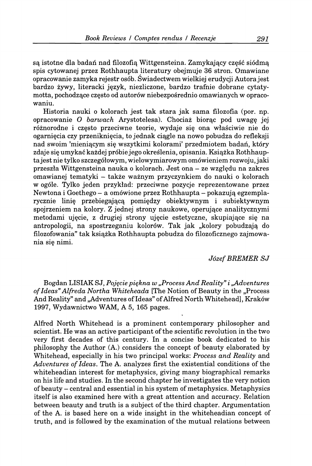są istotne dla badań nad filozofią Wittgensteina. Zamykający część siódmą spis cytowanej przez Rothhaupta literatury obejmuje 36 stron. Omawiane opracowanie zamyka rejestr osöb. Swiadectwem wielkiej erudycji Autora jest bardzo żywy, literacki język, niezliczone, bardzo trafnie dobrane cytatymotta, pochodzące często od autorów niebezpośrednio omawianych w opracowaniu.

Historia nauki o kolorach jest tak stara jak sama filozofia (por. np. opracowanie O barwach Arystotelesa). Chociaż biorac pod uwage jej różnorodne i często przeciwne teorie, wydaje się ona właściwie nie do ogarnięcia czy przeniknięcia, to jednak ciągle na nowo pobudza do refleksji nad swoim 'mieniącym się wszytkimi kolorami' przedmiotem badań, który zdaje się umykać każdej próbie jego określenia, opisania. Książka Rothhaupta jest nie tylko szczegölowym, wielowymiarowym omöwieniem rozwoju, jaki przeszła Wittgensteina nauka o kolorach. Jest ona – ze względu na zakres omawianej tematyki - takze waznym przyczynkiem do nauki o kolorach w ogöle. Tylko jeden przyklad: przeciwne pozycje reprezentowane przez Newtona i Goethego - a omöwione przez Rothhaupta - pokazujq egzemplarycznie linię przebiegającą pomiędzy obiektywnym i subiektywnym spojrzeniem na kolory. Z jednej strony naukowe, operujące analitycznymi metodami ujęcie, z drugiej strony ujęcie estetyczne, skupiające się na antropologii, na spostrzeganiu kolorów. Tak jak "kolory pobudzają do filozofowania" tak ksiqzka Rothhaupta pobudza do filozoficznego zajmowania sie nimi.

## *Jözef BREMER SJ*

Bogdan LISIAK SJ, Pojęcie piękna w "Process And Reality" i "Adventures of Ideas" Alfreda Northa Whiteheada [The Notion of Beauty in the "Process And Reality" and "Adventures of Ideas" of Alfred North Whitehead], Kraków 1997, Wydawnictwo WAM, A 5, 165 pages.

Alfred North Whitehead is a prominent contemporary philosopher and scientist. He was an active participant of the scientific revolution in the two very first decades of this century. In a concise book dedicated to his philosophy the Author (A.) considers the concept of beauty elaborated by Whitehead, especially in his two principal works: *Process and Reality* and *Adventures of Ideas.* The A. analyzes first the existential conditions of the whiteheadian interest for metaphysics, giving many biographical remarks on his life and studies. In the second chapter he investigates the very notion of beauty - central and essential in his system of metaphysics. Metaphysics itself is also examined here with a great attention and accuracy. Relation between beauty and truth is a subject of the third chapter. Argumentation of the A. is based here on a wide insight in the whiteheadian concept of truth, and is followed by the examination of the mutual relations between